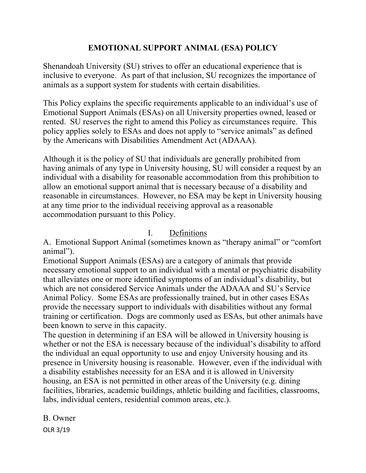# **EMOTIONAL SUPPORT ANIMAL (ESA) POLICY**

Shenandoah University (SU) strives to offer an educational experience that is inclusive to everyone. As part of that inclusion, SU recognizes the importance of animals as a support system for students with certain disabilities.

This Policy explains the specific requirements applicable to an individual's use of Emotional Support Animals (ESAs) on all University properties owned, leased or rented. SU reserves the right to amend this Policy as circumstances require. This policy applies solely to ESAs and does not apply to "service animals" as defined by the Americans with Disabilities Amendment Act (ADAAA).

Although it is the policy of SU that individuals are generally prohibited from having animals of any type in University housing, SU will consider a request by an individual with a disability for reasonable accommodation from this prohibition to allow an emotional support animal that is necessary because of a disability and reasonable in circumstances. However, no ESA may be kept in University housing at any time prior to the individual receiving approval as a reasonable accommodation pursuant to this Policy.

# I. Definitions

A. Emotional Support Animal (sometimes known as "therapy animal" or "comfort animal").

Emotional Support Animals (ESAs) are a category of animals that provide necessary emotional support to an individual with a mental or psychiatric disability that alleviates one or more identified symptoms of an individual's disability, but which are not considered Service Animals under the ADAAA and SU's Service Animal Policy. Some ESAs are professionally trained, but in other cases ESAs provide the necessary support to individuals with disabilities without any formal training or certification. Dogs are commonly used as ESAs, but other animals have been known to serve in this capacity.

The question in determining if an ESA will be allowed in University housing is whether or not the ESA is necessary because of the individual's disability to afford the individual an equal opportunity to use and enjoy University housing and its presence in University housing is reasonable. However, even if the individual with a disability establishes necessity for an ESA and it is allowed in University housing, an ESA is not permitted in other areas of the University (e.g. dining facilities, libraries, academic buildings, athletic building and facilities, classrooms, labs, individual centers, residential common areas, etc.).

OLR 3/19 B. Owner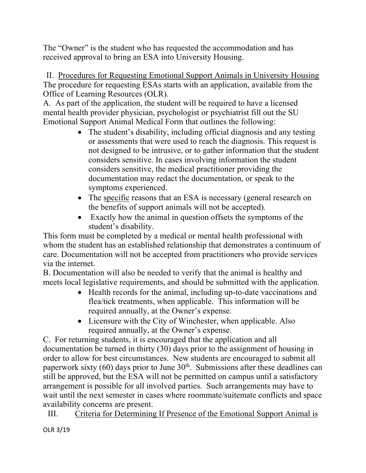The "Owner" is the student who has requested the accommodation and has received approval to bring an ESA into University Housing.

II. Procedures for Requesting Emotional Support Animals in University Housing The procedure for requesting ESAs starts with an application, available from the Office of Learning Resources (OLR).

A. As part of the application, the student will be required to have a licensed mental health provider physician, psychologist or psychiatrist fill out the SU Emotional Support Animal Medical Form that outlines the following:

- The student's disability, including official diagnosis and any testing or assessments that were used to reach the diagnosis. This request is not designed to be intrusive, or to gather information that the student considers sensitive. In cases involving information the student considers sensitive, the medical practitioner providing the documentation may redact the documentation, or speak to the symptoms experienced.
- The specific reasons that an ESA is necessary (general research on the benefits of support animals will not be accepted).
- Exactly how the animal in question offsets the symptoms of the student's disability.

This form must be completed by a medical or mental health professional with whom the student has an established relationship that demonstrates a continuum of care. Documentation will not be accepted from practitioners who provide services via the internet.

B. Documentation will also be needed to verify that the animal is healthy and meets local legislative requirements, and should be submitted with the application.

- Health records for the animal, including up-to-date vaccinations and flea/tick treatments, when applicable. This information will be required annually, at the Owner's expense.
- Licensure with the City of Winchester, when applicable. Also required annually, at the Owner's expense.

C. For returning students, it is encouraged that the application and all documentation be turned in thirty (30) days prior to the assignment of housing in order to allow for best circumstances. New students are encouraged to submit all paperwork sixty  $(60)$  days prior to June  $30<sup>th</sup>$ . Submissions after these deadlines can still be approved, but the ESA will not be permitted on campus until a satisfactory arrangement is possible for all involved parties. Such arrangements may have to wait until the next semester in cases where roommate/suitemate conflicts and space availability concerns are present.

III. Criteria for Determining If Presence of the Emotional Support Animal is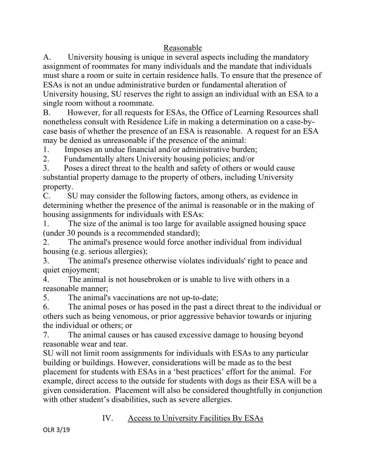### Reasonable

A. University housing is unique in several aspects including the mandatory assignment of roommates for many individuals and the mandate that individuals must share a room or suite in certain residence halls. To ensure that the presence of ESAs is not an undue administrative burden or fundamental alteration of University housing, SU reserves the right to assign an individual with an ESA to a single room without a roommate.

B. However, for all requests for ESAs, the Office of Learning Resources shall nonetheless consult with Residence Life in making a determination on a case-bycase basis of whether the presence of an ESA is reasonable. A request for an ESA may be denied as unreasonable if the presence of the animal:

1. Imposes an undue financial and/or administrative burden;

2. Fundamentally alters University housing policies; and/or

3. Poses a direct threat to the health and safety of others or would cause substantial property damage to the property of others, including University property.

C. SU may consider the following factors, among others, as evidence in determining whether the presence of the animal is reasonable or in the making of housing assignments for individuals with ESAs:

1. The size of the animal is too large for available assigned housing space (under 30 pounds is a recommended standard);

2. The animal's presence would force another individual from individual housing (e.g. serious allergies);

3. The animal's presence otherwise violates individuals' right to peace and quiet enjoyment;

4. The animal is not housebroken or is unable to live with others in a reasonable manner;

5. The animal's vaccinations are not up-to-date;

6. The animal poses or has posed in the past a direct threat to the individual or others such as being venomous, or prior aggressive behavior towards or injuring the individual or others; or

7. The animal causes or has caused excessive damage to housing beyond reasonable wear and tear.

SU will not limit room assignments for individuals with ESAs to any particular building or buildings. However, considerations will be made as to the best placement for students with ESAs in a 'best practices' effort for the animal. For example, direct access to the outside for students with dogs as their ESA will be a given consideration. Placement will also be considered thoughtfully in conjunction with other student's disabilities, such as severe allergies.

### IV. Access to University Facilities By ESAs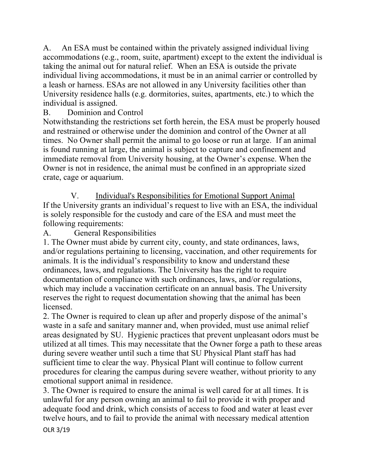A. An ESA must be contained within the privately assigned individual living accommodations (e.g., room, suite, apartment) except to the extent the individual is taking the animal out for natural relief. When an ESA is outside the private individual living accommodations, it must be in an animal carrier or controlled by a leash or harness. ESAs are not allowed in any University facilities other than University residence halls (e.g. dormitories, suites, apartments, etc.) to which the individual is assigned.

# B. Dominion and Control

Notwithstanding the restrictions set forth herein, the ESA must be properly housed and restrained or otherwise under the dominion and control of the Owner at all times. No Owner shall permit the animal to go loose or run at large. If an animal is found running at large, the animal is subject to capture and confinement and immediate removal from University housing, at the Owner's expense. When the Owner is not in residence, the animal must be confined in an appropriate sized crate, cage or aquarium.

V. Individual's Responsibilities for Emotional Support Animal If the University grants an individual's request to live with an ESA, the individual is solely responsible for the custody and care of the ESA and must meet the following requirements:

A. General Responsibilities

1. The Owner must abide by current city, county, and state ordinances, laws, and/or regulations pertaining to licensing, vaccination, and other requirements for animals. It is the individual's responsibility to know and understand these ordinances, laws, and regulations. The University has the right to require documentation of compliance with such ordinances, laws, and/or regulations, which may include a vaccination certificate on an annual basis. The University reserves the right to request documentation showing that the animal has been licensed.

2. The Owner is required to clean up after and properly dispose of the animal's waste in a safe and sanitary manner and, when provided, must use animal relief areas designated by SU. Hygienic practices that prevent unpleasant odors must be utilized at all times. This may necessitate that the Owner forge a path to these areas during severe weather until such a time that SU Physical Plant staff has had sufficient time to clear the way. Physical Plant will continue to follow current procedures for clearing the campus during severe weather, without priority to any emotional support animal in residence.

3. The Owner is required to ensure the animal is well cared for at all times. It is unlawful for any person owning an animal to fail to provide it with proper and adequate food and drink, which consists of access to food and water at least ever twelve hours, and to fail to provide the animal with necessary medical attention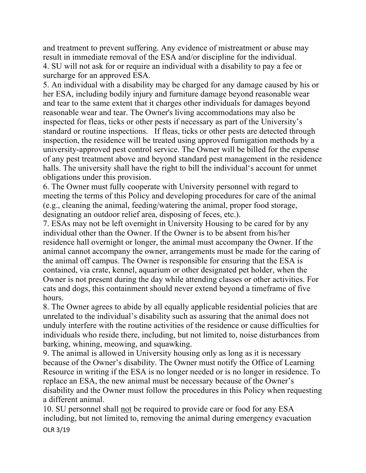and treatment to prevent suffering. Any evidence of mistreatment or abuse may result in immediate removal of the ESA and/or discipline for the individual. 4. SU will not ask for or require an individual with a disability to pay a fee or surcharge for an approved ESA.

5. An individual with a disability may be charged for any damage caused by his or her ESA, including bodily injury and furniture damage beyond reasonable wear and tear to the same extent that it charges other individuals for damages beyond reasonable wear and tear. The Owner's living accommodations may also be inspected for fleas, ticks or other pests if necessary as part of the University's standard or routine inspections. If fleas, ticks or other pests are detected through inspection, the residence will be treated using approved fumigation methods by a university-approved pest control service. The Owner will be billed for the expense of any pest treatment above and beyond standard pest management in the residence halls. The university shall have the right to bill the individual's account for unmet obligations under this provision.

6. The Owner must fully cooperate with University personnel with regard to meeting the terms of this Policy and developing procedures for care of the animal (e.g., cleaning the animal, feeding/watering the animal, proper food storage, designating an outdoor relief area, disposing of feces, etc.).

7. ESAs may not be left overnight in University Housing to be cared for by any individual other than the Owner. If the Owner is to be absent from his/her residence hall overnight or longer, the animal must accompany the Owner. If the animal cannot accompany the owner, arrangements must be made for the caring of the animal off campus. The Owner is responsible for ensuring that the ESA is contained, via crate, kennel, aquarium or other designated pet holder, when the Owner is not present during the day while attending classes or other activities. For cats and dogs, this containment should never extend beyond a timeframe of five hours.

8. The Owner agrees to abide by all equally applicable residential policies that are unrelated to the individual's disability such as assuring that the animal does not unduly interfere with the routine activities of the residence or cause difficulties for individuals who reside there, including, but not limited to, noise disturbances from barking, whining, meowing, and squawking.

9. The animal is allowed in University housing only as long as it is necessary because of the Owner's disability. The Owner must notify the Office of Learning Resource in writing if the ESA is no longer needed or is no longer in residence. To replace an ESA, the new animal must be necessary because of the Owner's disability and the Owner must follow the procedures in this Policy when requesting a different animal.

10. SU personnel shall not be required to provide care or food for any ESA including, but not limited to, removing the animal during emergency evacuation

OLR 3/19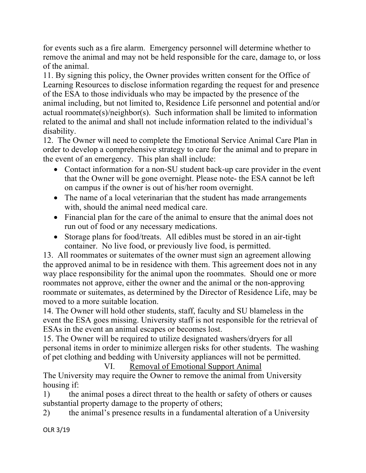for events such as a fire alarm. Emergency personnel will determine whether to remove the animal and may not be held responsible for the care, damage to, or loss of the animal.

11. By signing this policy, the Owner provides written consent for the Office of Learning Resources to disclose information regarding the request for and presence of the ESA to those individuals who may be impacted by the presence of the animal including, but not limited to, Residence Life personnel and potential and/or actual roommate(s)/neighbor(s). Such information shall be limited to information related to the animal and shall not include information related to the individual's disability.

12. The Owner will need to complete the Emotional Service Animal Care Plan in order to develop a comprehensive strategy to care for the animal and to prepare in the event of an emergency. This plan shall include:

- Contact information for a non-SU student back-up care provider in the event that the Owner will be gone overnight. Please note- the ESA cannot be left on campus if the owner is out of his/her room overnight.
- The name of a local veterinarian that the student has made arrangements with, should the animal need medical care.
- Financial plan for the care of the animal to ensure that the animal does not run out of food or any necessary medications.
- Storage plans for food/treats. All edibles must be stored in an air-tight container. No live food, or previously live food, is permitted.

13. All roommates or suitemates of the owner must sign an agreement allowing the approved animal to be in residence with them. This agreement does not in any way place responsibility for the animal upon the roommates. Should one or more roommates not approve, either the owner and the animal or the non-approving roommate or suitemates, as determined by the Director of Residence Life, may be moved to a more suitable location.

14. The Owner will hold other students, staff, faculty and SU blameless in the event the ESA goes missing. University staff is not responsible for the retrieval of ESAs in the event an animal escapes or becomes lost.

15. The Owner will be required to utilize designated washers/dryers for all personal items in order to minimize allergen risks for other students. The washing of pet clothing and bedding with University appliances will not be permitted.

VI. Removal of Emotional Support Animal

The University may require the Owner to remove the animal from University housing if:

1) the animal poses a direct threat to the health or safety of others or causes substantial property damage to the property of others;

2) the animal's presence results in a fundamental alteration of a University

OLR 3/19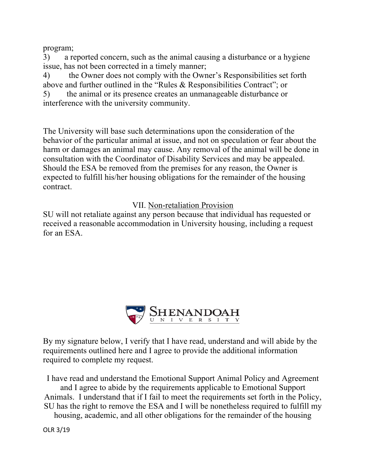program;

3) a reported concern, such as the animal causing a disturbance or a hygiene issue, has not been corrected in a timely manner;

4) the Owner does not comply with the Owner's Responsibilities set forth above and further outlined in the "Rules & Responsibilities Contract"; or

5) the animal or its presence creates an unmanageable disturbance or interference with the university community.

The University will base such determinations upon the consideration of the behavior of the particular animal at issue, and not on speculation or fear about the harm or damages an animal may cause. Any removal of the animal will be done in consultation with the Coordinator of Disability Services and may be appealed. Should the ESA be removed from the premises for any reason, the Owner is expected to fulfill his/her housing obligations for the remainder of the housing contract.

VII. Non-retaliation Provision

SU will not retaliate against any person because that individual has requested or received a reasonable accommodation in University housing, including a request for an ESA.



By my signature below, I verify that I have read, understand and will abide by the requirements outlined here and I agree to provide the additional information required to complete my request.

I have read and understand the Emotional Support Animal Policy and Agreement and I agree to abide by the requirements applicable to Emotional Support Animals. I understand that if I fail to meet the requirements set forth in the Policy, SU has the right to remove the ESA and I will be nonetheless required to fulfill my

housing, academic, and all other obligations for the remainder of the housing

OLR 3/19